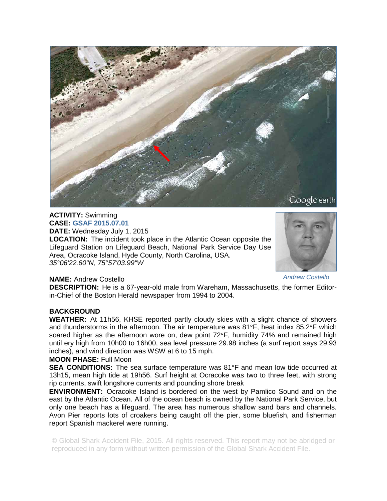

### **ACTIVITY:** Swimming **CASE: GSAF 2015.07.01**

**DATE:** Wednesday July 1, 2015

**LOCATION:** The incident took place in the Atlantic Ocean opposite the Lifeguard Station on Lifeguard Beach, National Park Service Day Use Area, Ocracoke Island, Hyde County, North Carolina, USA. *35°06'22.60"N, 75°57'03.99"W* 



*Andrew Costello* 

# **NAME:** Andrew Costello

**DESCRIPTION:** He is a 67-year-old male from Wareham, Massachusetts, the former Editorin-Chief of the Boston Herald newspaper from 1994 to 2004.

# **BACKGROUND**

**WEATHER:** At 11h56, KHSE reported partly cloudy skies with a slight chance of showers and thunderstorms in the afternoon. The air temperature was  $81^{\circ}$ F, heat index  $85.2^{\circ}$ F which soared higher as the afternoon wore on, dew point  $72^{\circ}$ F, humidity 74% and remained high until ery high from 10h00 to 16h00, sea level pressure 29.98 inches (a surf report says 29.93 inches), and wind direction was WSW at 6 to 15 mph.

# **MOON PHASE:** Full Moon

**SEA CONDITIONS:** The sea surface temperature was 81°F and mean low tide occurred at 13h15, mean high tide at 19h56. Surf height at Ocracoke was two to three feet, with strong rip currents, swift longshore currents and pounding shore break

**ENVIRONMENT:** Ocracoke Island is bordered on the west by Pamlico Sound and on the east by the Atlantic Ocean. All of the ocean beach is owned by the National Park Service, but only one beach has a lifeguard. The area has numerous shallow sand bars and channels. Avon Pier reports lots of croakers being caught off the pier, some bluefish, and fisherman report Spanish mackerel were running.

© Global Shark Accident File, 2015. All rights reserved. This report may not be abridged or reproduced in any form without written permission of the Global Shark Accident File.